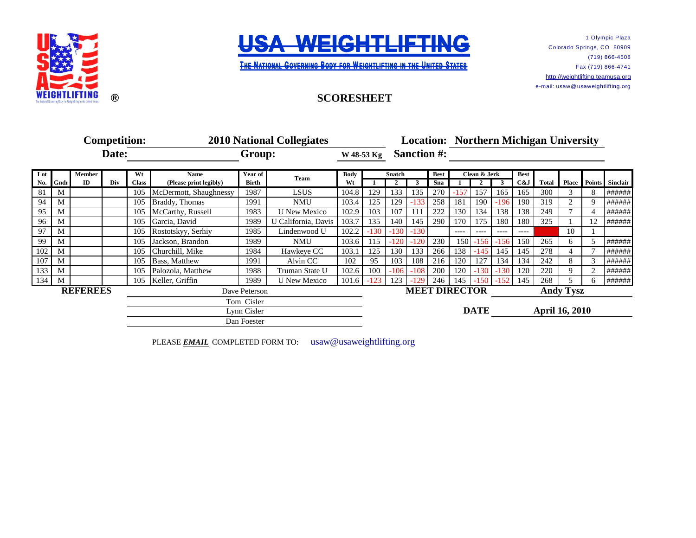



THE NATIONAL GOVERNING BODY FOR WEIGHTLIFTING IN THE UNITED STATES

**SCORESHEET**

1 Olympic Plaza Colorado Springs, CO 80909 (719) 866-4508 Fax (719) 866-4741 [http://w](http://weightlifting.teamusa.org/)eightlifting.teamusa.org e-mail: usaw@ usaweightlifting.org

## **Competition: 2010 National Collegiates** Date: Group: W48-53 Kg Sanction #: **Lot Member Wt Name Year of Body Best Clean & Jerk Best** No. Gndr ID Div Class (Please print legibly) Birth Wt 1 2 3 Sna 1 2 3 C&J Total Place Points Sinclair 81 M 105 McDermott, Shaughnessy 1987 LSUS 104.8 129 133 135 270 -157 157 165 165 300 3 8 ###### 94 | M | | 105 |Braddy, Thomas | 1991 | NMU | 103.4 | 125 | 129 | -133 | 258 | 181 | 190 | -196 | 190 | 319 | 2 | 9 |###### 95 M 105 McCarthy, Russell 1983 U New Mexico 102.9 103 107 111 222 130 134 138 138 249 7 4 ###### 96 | M | | 105 |Garcia, David | 1989 | U California, Davis | 103.7 | 135 | 140 | 145 | 290 | 170 | 175 | 180 | 180 | 325 | 1 | 12 |###### 97 M 105 Rostotskyy, Serhiy 1985 Lindenwood U 102.2 -130 -130 -130 -260 ---- ---- ---- ---- 0 10 1 0.000 99 M 105 Jackson, Brandon 1989 NMU 103.6 115 -120 -120 230 150 -156 -156 150 265 6 5 ###### 102 M 1 105 Churchill, Mike 1984 Hawkeye CC 103.1 125 130 133 266 138 -145 145 145 278 4 7 ###### 107 M 1 105 Bass, Matthew 1991 Alvin CC 102 95 103 108 216 120 127 134 134 242 8 3 ###### 133 M 105 Palozola, Matthew 1988 Truman State U 102.6 100 -106 -108 200 120 -130 -130 -130 120 220 9 2 ###### 134 M 105 Keller, Griffin 1989 U New Mexico 101.6 -123 123 -129 246 145 -150 -152 145 268 5 6 ######<br>REFEREES Dave Peterson MEET DIRECTOR Andy Tysz **REFEREES** Dave Peterson **MEET DIRECTOR** Andy Tysz **DATE** Lynn Cisler **April 16, 2010** Dan Foester Team<br>
W<sub>t</sub>
Body
<del>Snatch</del>
Team
W<sub>t</sub>
12 Tom Cisler **2010 Location: Northern Michigan University W 48-53 Kg**

PLEASE **EMAIL** COMPLETED FORM TO: usaw@usaweightlifting.org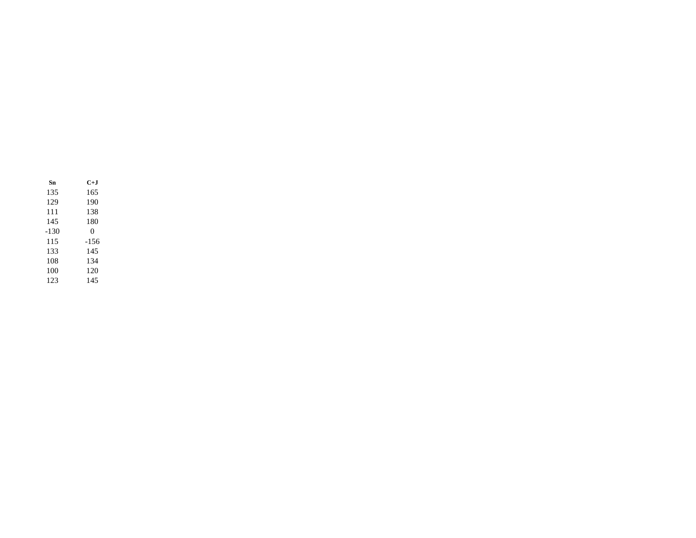| Sn   | C+.I   |
|------|--------|
| 135  | 165    |
| 129  | 190    |
| 111  | 138    |
| 145  | 180    |
| -130 | 0      |
| 115  | $-156$ |
| 133  | 145    |
| 108  | 134    |
| 100  | 120    |
| 123  | 145    |